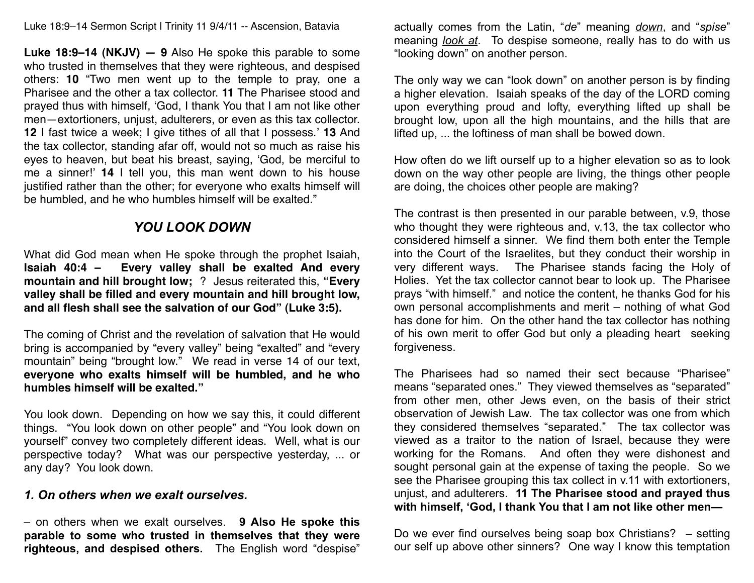Luke 18:9–14 Sermon Script | Trinity 11 9/4/11 -- Ascension, Batavia

**Luke 18:9–14 (NKJV) — 9** Also He spoke this parable to some who trusted in themselves that they were righteous, and despised others: **10** "Two men went up to the temple to pray, one a Pharisee and the other a tax collector. **11** The Pharisee stood and prayed thus with himself, ʻGod, I thank You that I am not like other men—extortioners, unjust, adulterers, or even as this tax collector. **12** I fast twice a week; I give tithes of all that I possess.' **13** And the tax collector, standing afar off, would not so much as raise his eyes to heaven, but beat his breast, saying, ʻGod, be merciful to me a sinner!' **14** I tell you, this man went down to his house justified rather than the other; for everyone who exalts himself will be humbled, and he who humbles himself will be exalted."

## *YOU LOOK DOWN*

What did God mean when He spoke through the prophet Isaiah, **Isaiah 40:4 – Every valley shall be exalted And every mountain and hill brought low;** ? Jesus reiterated this, **"Every valley shall be filled and every mountain and hill brought low, and all flesh shall see the salvation of our God" (Luke 3:5).**

The coming of Christ and the revelation of salvation that He would bring is accompanied by "every valley" being "exalted" and "every mountain" being "brought low." We read in verse 14 of our text, **everyone who exalts himself will be humbled, and he who humbles himself will be exalted."**

You look down. Depending on how we say this, it could different things. "You look down on other people" and "You look down on yourself" convey two completely different ideas. Well, what is our perspective today? What was our perspective yesterday, ... or any day? You look down.

## *1. On others when we exalt ourselves.*

– on others when we exalt ourselves. **9 Also He spoke this parable to some who trusted in themselves that they were righteous, and despised others.** The English word "despise" actually comes from the Latin, "*de*" meaning *down*, and "*spise*" meaning *look at*. To despise someone, really has to do with us "looking down" on another person.

The only way we can "look down" on another person is by finding a higher elevation. Isaiah speaks of the day of the LORD coming upon everything proud and lofty, everything lifted up shall be brought low, upon all the high mountains, and the hills that are lifted up, ... the loftiness of man shall be bowed down.

How often do we lift ourself up to a higher elevation so as to look down on the way other people are living, the things other people are doing, the choices other people are making?

The contrast is then presented in our parable between, v.9, those who thought they were righteous and, v.13, the tax collector who considered himself a sinner. We find them both enter the Temple into the Court of the Israelites, but they conduct their worship in very different ways. The Pharisee stands facing the Holy of Holies. Yet the tax collector cannot bear to look up. The Pharisee prays "with himself." and notice the content, he thanks God for his own personal accomplishments and merit – nothing of what God has done for him. On the other hand the tax collector has nothing of his own merit to offer God but only a pleading heart seeking forgiveness.

The Pharisees had so named their sect because "Pharisee" means "separated ones." They viewed themselves as "separated" from other men, other Jews even, on the basis of their strict observation of Jewish Law. The tax collector was one from which they considered themselves "separated." The tax collector was viewed as a traitor to the nation of Israel, because they were working for the Romans. And often they were dishonest and sought personal gain at the expense of taxing the people. So we see the Pharisee grouping this tax collect in v.11 with extortioners, unjust, and adulterers. **11 The Pharisee stood and prayed thus with himself, 'God, I thank You that I am not like other men—**

Do we ever find ourselves being soap box Christians? – setting our self up above other sinners? One way I know this temptation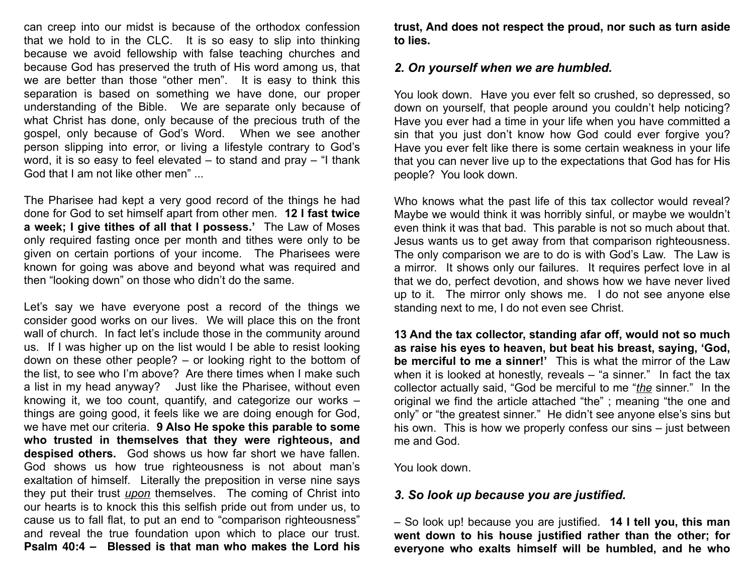can creep into our midst is because of the orthodox confession that we hold to in the CLC. It is so easy to slip into thinking because we avoid fellowship with false teaching churches and because God has preserved the truth of His word among us, that we are better than those "other men". It is easy to think this separation is based on something we have done, our proper understanding of the Bible. We are separate only because of what Christ has done, only because of the precious truth of the gospel, only because of God's Word. When we see another person slipping into error, or living a lifestyle contrary to God's word, it is so easy to feel elevated – to stand and pray – "I thank God that I am not like other men" ...

The Pharisee had kept a very good record of the things he had done for God to set himself apart from other men. **12 I fast twice a week; I give tithes of all that I possess.'** The Law of Moses only required fasting once per month and tithes were only to be given on certain portions of your income. The Pharisees were known for going was above and beyond what was required and then "looking down" on those who didn't do the same.

Let's say we have everyone post a record of the things we consider good works on our lives. We will place this on the front wall of church. In fact let's include those in the community around us. If I was higher up on the list would I be able to resist looking down on these other people? – or looking right to the bottom of the list, to see who I'm above? Are there times when I make such a list in my head anyway? Just like the Pharisee, without even knowing it, we too count, quantify, and categorize our works – things are going good, it feels like we are doing enough for God, we have met our criteria. **9 Also He spoke this parable to some who trusted in themselves that they were righteous, and despised others.** God shows us how far short we have fallen. God shows us how true righteousness is not about man's exaltation of himself. Literally the preposition in verse nine says they put their trust *upon* themselves. The coming of Christ into our hearts is to knock this this selfish pride out from under us, to cause us to fall flat, to put an end to "comparison righteousness" and reveal the true foundation upon which to place our trust. **Psalm 40:4 – Blessed is that man who makes the Lord his** 

**trust, And does not respect the proud, nor such as turn aside to lies.** 

## *2. On yourself when we are humbled.*

You look down. Have you ever felt so crushed, so depressed, so down on yourself, that people around you couldn't help noticing? Have you ever had a time in your life when you have committed a sin that you just don't know how God could ever forgive you? Have you ever felt like there is some certain weakness in your life that you can never live up to the expectations that God has for His people? You look down.

Who knows what the past life of this tax collector would reveal? Maybe we would think it was horribly sinful, or maybe we wouldn't even think it was that bad. This parable is not so much about that. Jesus wants us to get away from that comparison righteousness. The only comparison we are to do is with God's Law. The Law is a mirror. It shows only our failures. It requires perfect love in al that we do, perfect devotion, and shows how we have never lived up to it. The mirror only shows me. I do not see anyone else standing next to me, I do not even see Christ.

**13 And the tax collector, standing afar off, would not so much as raise his eyes to heaven, but beat his breast, saying, 'God, be merciful to me a sinner!'** This is what the mirror of the Law when it is looked at honestly, reveals – "a sinner." In fact the tax collector actually said, "God be merciful to me "*the* sinner." In the original we find the article attached "the" ; meaning "the one and only" or "the greatest sinner." He didn't see anyone else's sins but his own. This is how we properly confess our sins – just between me and God.

You look down.

## *3. So look up because you are justified.*

– So look up! because you are justified. **14 I tell you, this man went down to his house justified rather than the other; for everyone who exalts himself will be humbled, and he who**